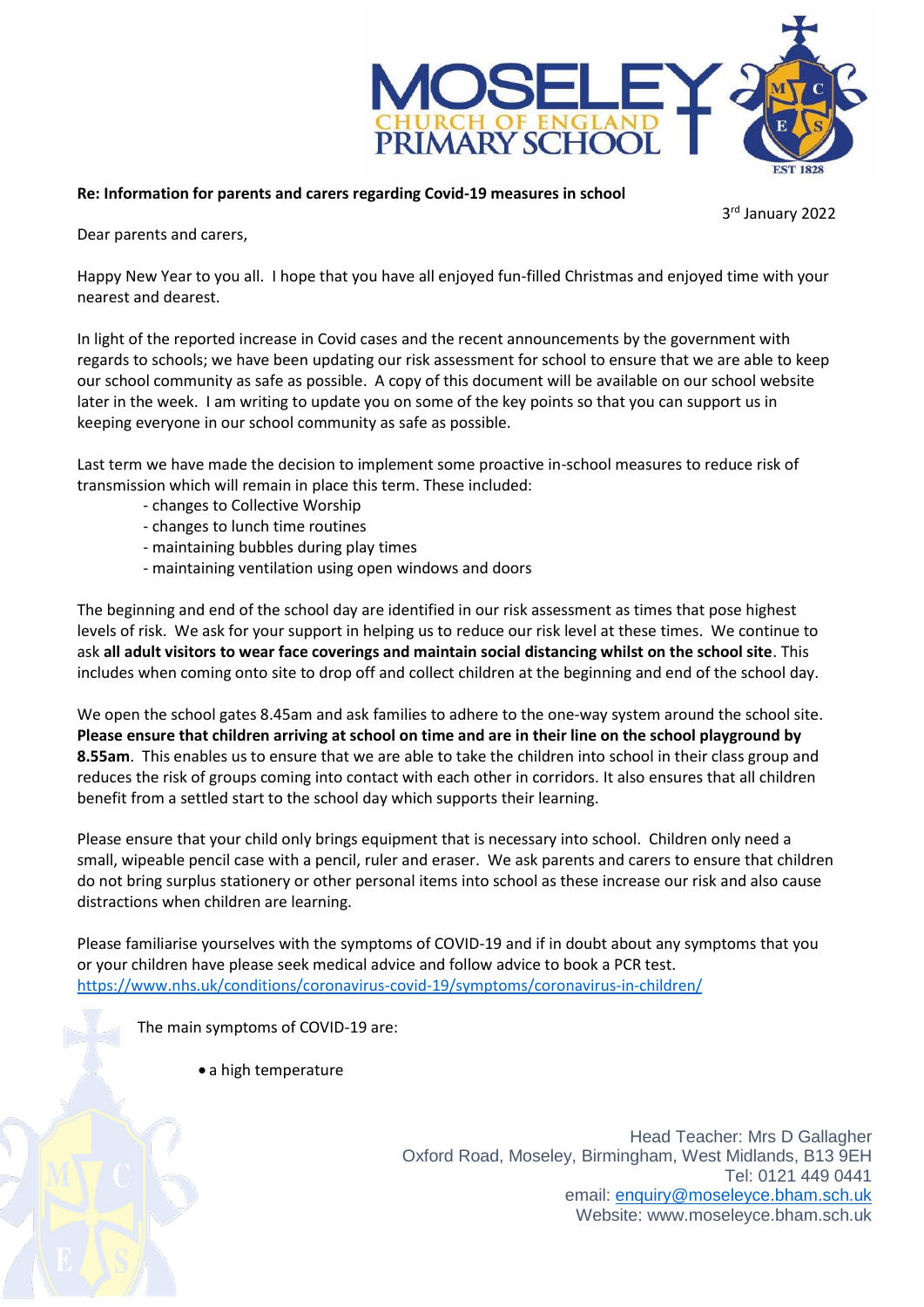

## **Re: Information for parents and carers regarding Covid-19 measures in school**

3 rd January 2022

Dear parents and carers,

Happy New Year to you all. I hope that you have all enjoyed fun-filled Christmas and enjoyed time with your nearest and dearest.

In light of the reported increase in Covid cases and the recent announcements by the government with regards to schools; we have been updating our risk assessment for school to ensure that we are able to keep our school community as safe as possible. A copy of this document will be available on our school website later in the week. I am writing to update you on some of the key points so that you can support us in keeping everyone in our school community as safe as possible.

Last term we have made the decision to implement some proactive in-school measures to reduce risk of transmission which will remain in place this term. These included:

- changes to Collective Worship
- changes to lunch time routines
- maintaining bubbles during play times
- maintaining ventilation using open windows and doors

The beginning and end of the school day are identified in our risk assessment as times that pose highest levels of risk. We ask for your support in helping us to reduce our risk level at these times. We continue to ask **all adult visitors to wear face coverings and maintain social distancing whilst on the school site**. This includes when coming onto site to drop off and collect children at the beginning and end of the school day.

We open the school gates 8.45am and ask families to adhere to the one-way system around the school site. **Please ensure that children arriving at school on time and are in their line on the school playground by 8.55am**. This enables us to ensure that we are able to take the children into school in their class group and reduces the risk of groups coming into contact with each other in corridors. It also ensures that all children benefit from a settled start to the school day which supports their learning.

Please ensure that your child only brings equipment that is necessary into school. Children only need a small, wipeable pencil case with a pencil, ruler and eraser. We ask parents and carers to ensure that children do not bring surplus stationery or other personal items into school as these increase our risk and also cause distractions when children are learning.

Please familiarise yourselves with the symptoms of COVID-19 and if in doubt about any symptoms that you or your children have please seek medical advice and follow advice to book a PCR test. <https://www.nhs.uk/conditions/coronavirus-covid-19/symptoms/coronavirus-in-children/>

The main symptoms of COVID-19 are:

a high temperature

Head Teacher: Mrs D Gallagher Oxford Road, Moseley, Birmingham, West Midlands, B13 9EH Tel: 0121 449 0441 email: [enquiry@moseleyce.bham.sch.uk](mailto:enquiry@moseleyce.bham.sch.uk) Website: www.moseleyce.bham.sch.uk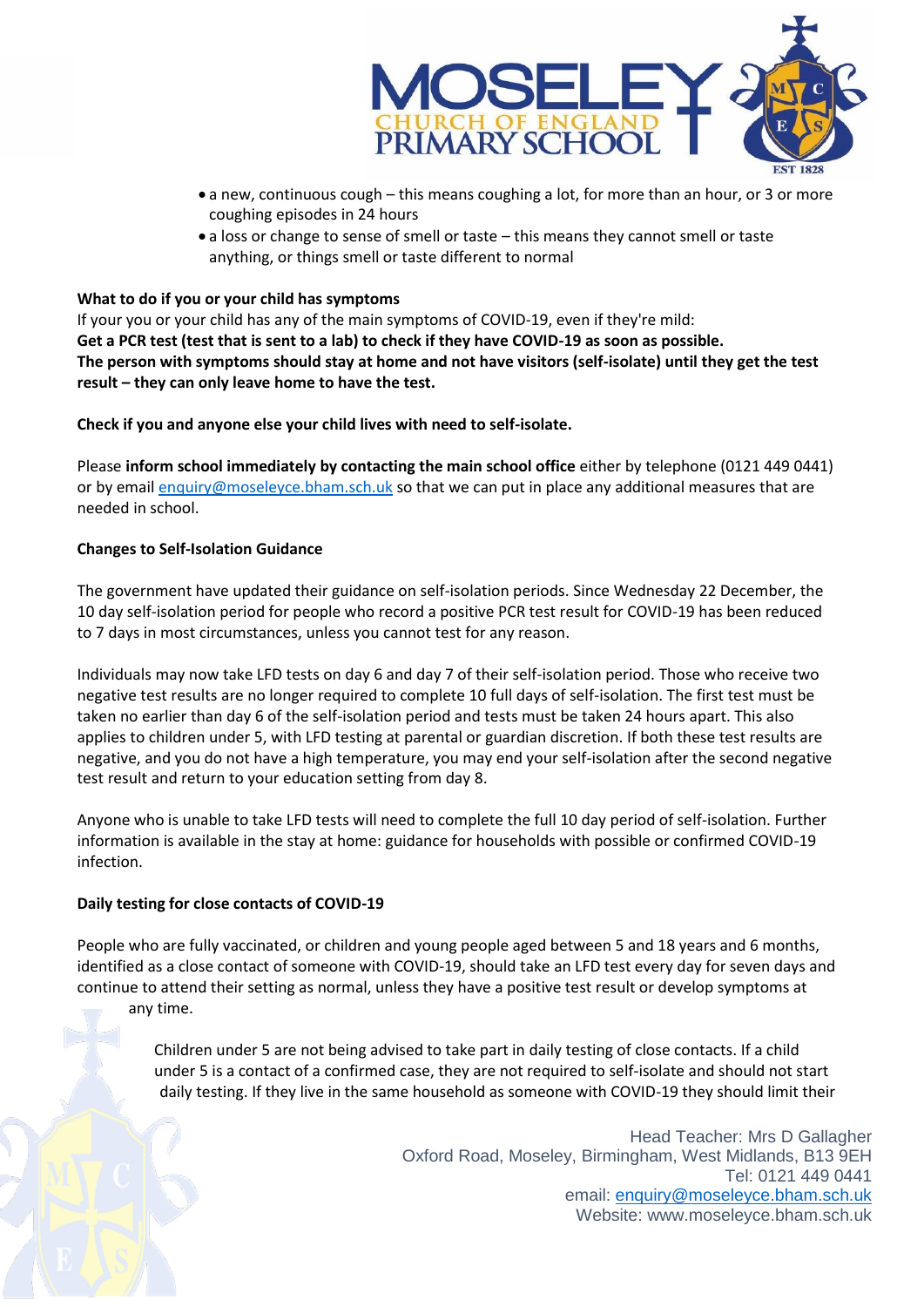

- a new, continuous cough this means coughing a lot, for more than an hour, or 3 or more coughing episodes in 24 hours
- a loss or change to sense of smell or taste this means they cannot smell or taste anything, or things smell or taste different to normal

## **What to do if you or your child has symptoms**

If your you or your child has any of the main symptoms of COVID-19, even if they're mild: **Get a PCR test (test that is sent to a lab) to check if they have COVID-19 as soon as possible. The person with symptoms should stay at home and not have visitors (self-isolate) until they get the test result – they can only leave home to have the test.** 

**Check if you and anyone else your child lives with need to self-isolate.**

Please **inform school immediately by contacting the main school office** either by telephone (0121 449 0441) or by email [enquiry@moseleyce.bham.sch.uk](mailto:enquiry@moseleyce.bham.sch.uk) so that we can put in place any additional measures that are needed in school.

## **Changes to Self-Isolation Guidance**

The government have updated their guidance on self-isolation periods. Since Wednesday 22 December, the 10 day self-isolation period for people who record a positive PCR test result for COVID-19 has been reduced to 7 days in most circumstances, unless you cannot test for any reason.

Individuals may now take LFD tests on day 6 and day 7 of their self-isolation period. Those who receive two negative test results are no longer required to complete 10 full days of self-isolation. The first test must be taken no earlier than day 6 of the self-isolation period and tests must be taken 24 hours apart. This also applies to children under 5, with LFD testing at parental or guardian discretion. If both these test results are negative, and you do not have a high temperature, you may end your self-isolation after the second negative test result and return to your education setting from day 8.

Anyone who is unable to take LFD tests will need to complete the full 10 day period of self-isolation. Further information is available in the stay at home: guidance for households with possible or confirmed COVID-19 infection.

## **Daily testing for close contacts of COVID-19**

People who are fully vaccinated, or children and young people aged between 5 and 18 years and 6 months, identified as a close contact of someone with COVID-19, should take an LFD test every day for seven days and continue to attend their setting as normal, unless they have a positive test result or develop symptoms at

any time.

Children under 5 are not being advised to take part in daily testing of close contacts. If a child under 5 is a contact of a confirmed case, they are not required to self-isolate and should not start daily testing. If they live in the same household as someone with COVID-19 they should limit their

> Head Teacher: Mrs D Gallagher Oxford Road, Moseley, Birmingham, West Midlands, B13 9EH Tel: 0121 449 0441 email: [enquiry@moseleyce.bham.sch.uk](mailto:enquiry@moseleyce.bham.sch.uk) Website: www.moseleyce.bham.sch.uk